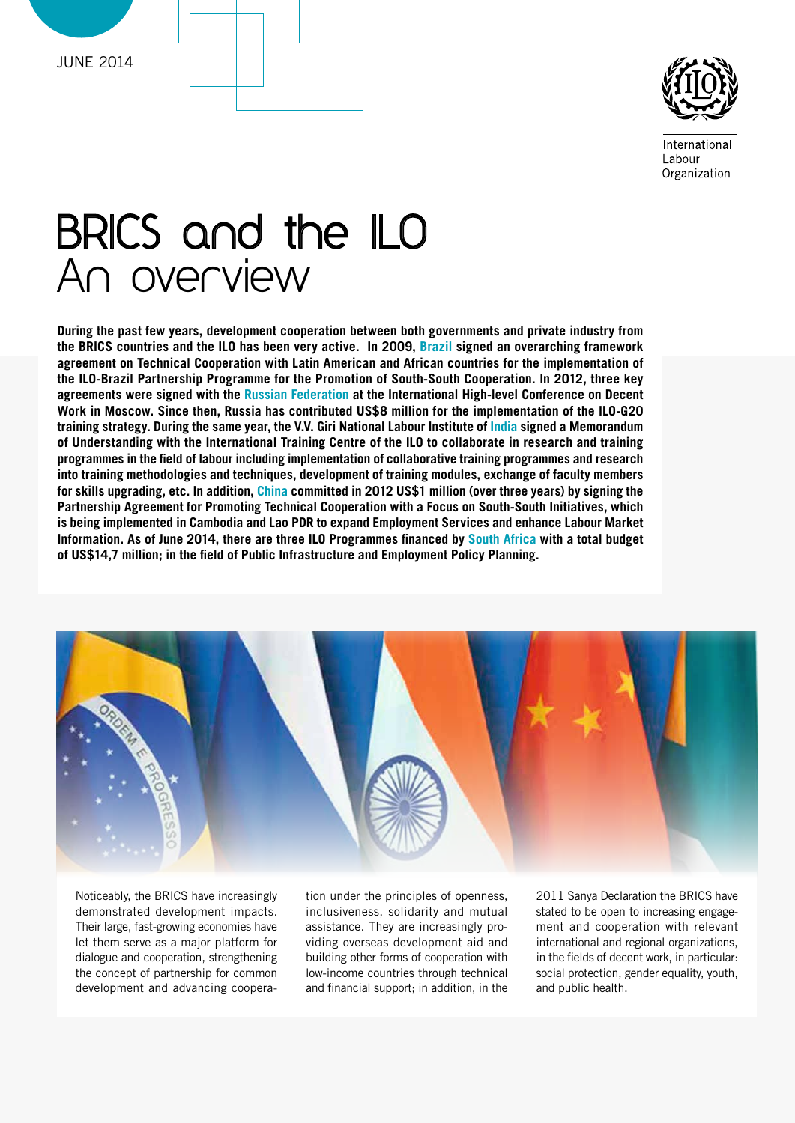



Internationa Labour Organization

# BRICS and the ILO An overview

**During the past few years, development cooperation between both governments and private industry from the BRICS countries and the ILO has been very active. In 2009, Brazil signed an overarching framework agreement on Technical Cooperation with Latin American and African countries for the implementation of the ILO-Brazil Partnership Programme for the Promotion of South-South Cooperation. In 2012, three key agreements were signed with the Russian Federation at the International High-level Conference on Decent Work in Moscow. Since then, Russia has contributed US\$8 million for the implementation of the ILO-G20 training strategy. During the same year, the V.V. Giri National Labour Institute of India signed a Memorandum of Understanding with the International Training Centre of the ILO to collaborate in research and training programmes in the field of labour including implementation of collaborative training programmes and research into training methodologies and techniques, development of training modules, exchange of faculty members for skills upgrading, etc. In addition, China committed in 2012 US\$1 million (over three years) by signing the Partnership Agreement for Promoting Technical Cooperation with a Focus on South-South Initiatives, which is being implemented in Cambodia and Lao PDR to expand Employment Services and enhance Labour Market Information. As of June 2014, there are three ILO Programmes financed by South Africa with a total budget of US\$14,7 million; in the field of Public Infrastructure and Employment Policy Planning.**



Noticeably, the BRICS have increasingly demonstrated development impacts. Their large, fast-growing economies have let them serve as a major platform for dialogue and cooperation, strengthening the concept of partnership for common development and advancing coopera-

tion under the principles of openness, inclusiveness, solidarity and mutual assistance. They are increasingly providing overseas development aid and building other forms of cooperation with low-income countries through technical and financial support; in addition, in the

2011 Sanya Declaration the BRICS have stated to be open to increasing engagement and cooperation with relevant international and regional organizations, in the fields of decent work, in particular: social protection, gender equality, youth, and public health.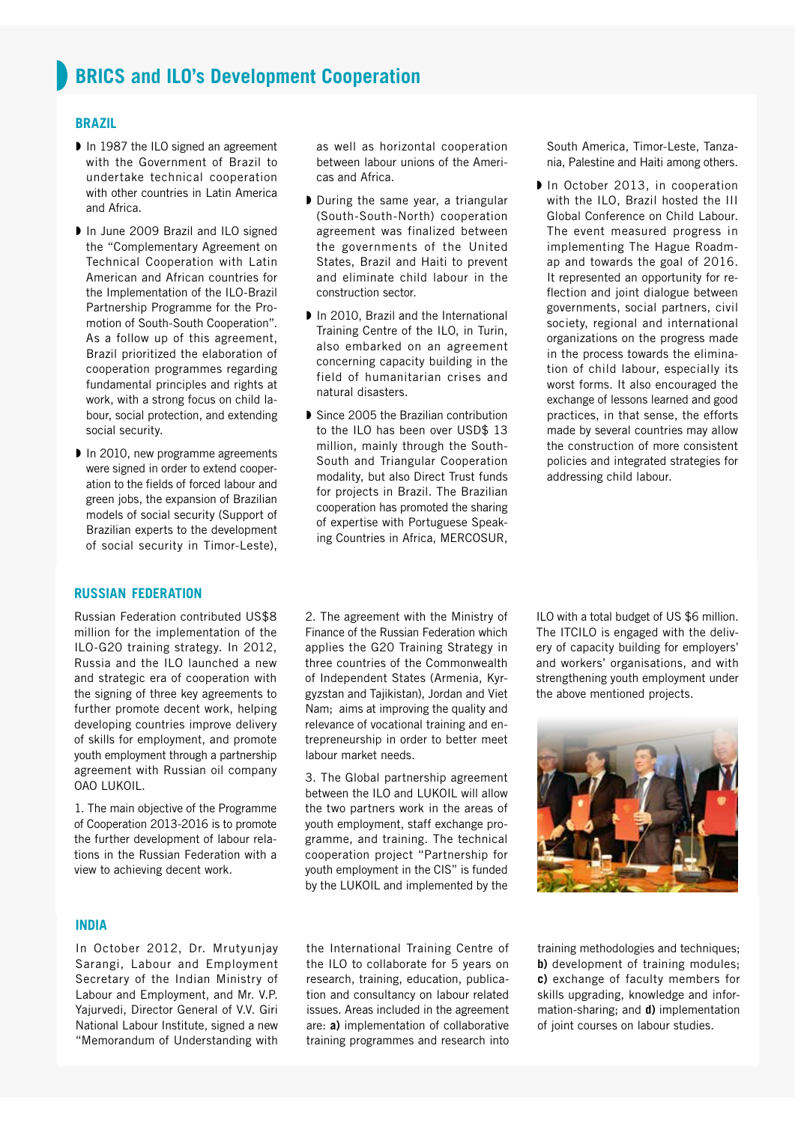### **brazil**

- In 1987 the ILO signed an agreement with the Government of Brazil to undertake technical cooperation with other countries in Latin America and Africa.
- In June 2009 Brazil and ILO signed the "Complementary Agreement on Technical Cooperation with Latin American and African countries for the Implementation of the ILO-Brazil Partnership Programme for the Promotion of South-South Cooperation". As a follow up of this agreement, Brazil prioritized the elaboration of cooperation programmes regarding fundamental principles and rights at work, with a strong focus on child labour, social protection, and extending social security.
- In 2010, new programme agreements were signed in order to extend cooperation to the fields of forced labour and green jobs, the expansion of Brazilian models of social security (Support of Brazilian experts to the development of social security in Timor-Leste),

# **russian federation**

Russian Federation contributed US\$8 million for the implementation of the ILO-G20 training strategy. In 2012, Russia and the ILO launched a new and strategic era of cooperation with the signing of three key agreements to further promote decent work, helping developing countries improve delivery of skills for employment, and promote youth employment through a partnership agreement with Russian oil company OAO LUKOIL.

1. The main objective of the Programme of Cooperation 2013-2016 is to promote the further development of labour relations in the Russian Federation with a view to achieving decent work.

**india**

In October 2012, Dr. Mrutyunjay Sarangi, Labour and Employment Secretary of the Indian Ministry of Labour and Employment, and Mr. V.P. Yajurvedi, Director General of V.V. Giri National Labour Institute, signed a new "Memorandum of Understanding with

as well as horizontal cooperation between labour unions of the Americas and Africa.

- During the same year, a triangular (South-South-North) cooperation agreement was finalized between the governments of the United States, Brazil and Haiti to prevent and eliminate child labour in the construction sector.
- In 2010, Brazil and the International Training Centre of the ILO, in Turin, also embarked on an agreement concerning capacity building in the field of humanitarian crises and natural disasters.
- Since 2005 the Brazilian contribution to the ILO has been over USD\$ 13 million, mainly through the South-South and Triangular Cooperation modality, but also Direct Trust funds for projects in Brazil. The Brazilian cooperation has promoted the sharing of expertise with Portuguese Speaking Countries in Africa, MERCOSUR,

South America, Timor-Leste, Tanzania, Palestine and Haiti among others.

In October 2013, in cooperation with the ILO, Brazil hosted the III Global Conference on Child Labour. The event measured progress in implementing The Hague Roadmap and towards the goal of 2016. It represented an opportunity for reflection and joint dialogue between governments, social partners, civil society, regional and international organizations on the progress made in the process towards the elimination of child labour, especially its worst forms. It also encouraged the exchange of lessons learned and good practices, in that sense, the efforts made by several countries may allow the construction of more consistent policies and integrated strategies for addressing child labour.

2. The agreement with the Ministry of Finance of the Russian Federation which applies the G20 Training Strategy in three countries of the Commonwealth of Independent States (Armenia, Kyrgyzstan and Tajikistan), Jordan and Viet Nam; aims at improving the quality and relevance of vocational training and entrepreneurship in order to better meet labour market needs.

3. The Global partnership agreement between the ILO and LUKOIL will allow the two partners work in the areas of youth employment, staff exchange programme, and training. The technical cooperation project "Partnership for youth employment in the CIS" is funded by the LUKOIL and implemented by the ILO with a total budget of US \$6 million. The ITCILO is engaged with the delivery of capacity building for employers' and workers' organisations, and with strengthening youth employment under the above mentioned projects.



the International Training Centre of the ILO to collaborate for 5 years on research, training, education, publication and consultancy on labour related issues. Areas included in the agreement are: **a)** implementation of collaborative training programmes and research into

training methodologies and techniques; **b)** development of training modules; **c)** exchange of faculty members for skills upgrading, knowledge and information-sharing; and **d)** implementation of joint courses on labour studies.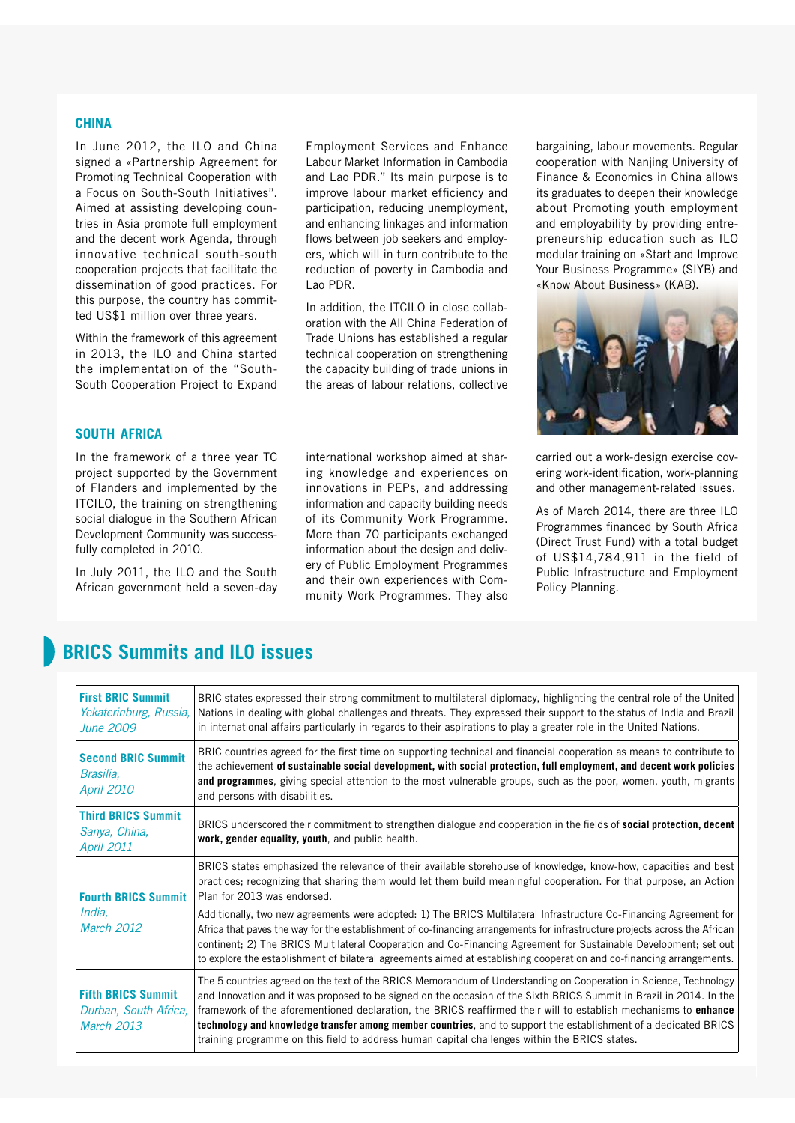### **china**

In June 2012, the ILO and China signed a «Partnership Agreement for Promoting Technical Cooperation with a Focus on South-South Initiatives". Aimed at assisting developing countries in Asia promote full employment and the decent work Agenda, through innovative technical south-south cooperation projects that facilitate the dissemination of good practices. For this purpose, the country has committed US\$1 million over three years.

Within the framework of this agreement in 2013, the ILO and China started the implementation of the "South-South Cooperation Project to Expand

Employment Services and Enhance Labour Market Information in Cambodia and Lao PDR." Its main purpose is to improve labour market efficiency and participation, reducing unemployment, and enhancing linkages and information flows between job seekers and employers, which will in turn contribute to the reduction of poverty in Cambodia and Lao PDR.

In addition, the ITCILO in close collaboration with the All China Federation of Trade Unions has established a regular technical cooperation on strengthening the capacity building of trade unions in the areas of labour relations, collective

international workshop aimed at sharing knowledge and experiences on innovations in PEPs, and addressing information and capacity building needs of its Community Work Programme. More than 70 participants exchanged information about the design and delivery of Public Employment Programmes and their own experiences with Community Work Programmes. They also

bargaining, labour movements. Regular cooperation with Nanjing University of Finance & Economics in China allows its graduates to deepen their knowledge about Promoting youth employment and employability by providing entrepreneurship education such as ILO modular training on «Start and Improve Your Business Programme» (SIYB) and «Know About Business» (KAB).



carried out a work-design exercise covering work-identification, work-planning and other management-related issues.

As of March 2014, there are three ILO Programmes financed by South Africa (Direct Trust Fund) with a total budget of US\$14,784,911 in the field of Public Infrastructure and Employment Policy Planning.

# **south africa**

In the framework of a three year TC project supported by the Government of Flanders and implemented by the ITCILO, the training on strengthening social dialogue in the Southern African Development Community was successfully completed in 2010.

In July 2011, the ILO and the South African government held a seven-day

# **BRICS Summits and ILO issues**

| <b>First BRIC Summit</b><br>Yekaterinburg, Russia,<br>June 2009  | BRIC states expressed their strong commitment to multilateral diplomacy, highlighting the central role of the United<br>Nations in dealing with global challenges and threats. They expressed their support to the status of India and Brazil<br>in international affairs particularly in regards to their aspirations to play a greater role in the United Nations.                                                                                                                                                                                                                   |
|------------------------------------------------------------------|----------------------------------------------------------------------------------------------------------------------------------------------------------------------------------------------------------------------------------------------------------------------------------------------------------------------------------------------------------------------------------------------------------------------------------------------------------------------------------------------------------------------------------------------------------------------------------------|
| <b>Second BRIC Summit</b><br>Brasilia,<br><b>April 2010</b>      | BRIC countries agreed for the first time on supporting technical and financial cooperation as means to contribute to<br>the achievement of sustainable social development, with social protection, full employment, and decent work policies<br>and programmes, giving special attention to the most vulnerable groups, such as the poor, women, youth, migrants<br>and persons with disabilities.                                                                                                                                                                                     |
| <b>Third BRICS Summit</b><br>Sanya, China,<br><b>April 2011</b>  | BRICS underscored their commitment to strengthen dialogue and cooperation in the fields of social protection, decent<br>work, gender equality, youth, and public health.                                                                                                                                                                                                                                                                                                                                                                                                               |
| <b>Fourth BRICS Summit</b><br>India.<br>March 2012               | BRICS states emphasized the relevance of their available storehouse of knowledge, know-how, capacities and best<br>practices; recognizing that sharing them would let them build meaningful cooperation. For that purpose, an Action<br>Plan for 2013 was endorsed.                                                                                                                                                                                                                                                                                                                    |
|                                                                  | Additionally, two new agreements were adopted: 1) The BRICS Multilateral Infrastructure Co-Financing Agreement for<br>Africa that paves the way for the establishment of co-financing arrangements for infrastructure projects across the African<br>continent; 2) The BRICS Multilateral Cooperation and Co-Financing Agreement for Sustainable Development; set out<br>to explore the establishment of bilateral agreements aimed at establishing cooperation and co-financing arrangements.                                                                                         |
| <b>Fifth BRICS Summit</b><br>Durban, South Africa,<br>March 2013 | The 5 countries agreed on the text of the BRICS Memorandum of Understanding on Cooperation in Science, Technology<br>and Innovation and it was proposed to be signed on the occasion of the Sixth BRICS Summit in Brazil in 2014. In the<br>framework of the aforementioned declaration, the BRICS reaffirmed their will to establish mechanisms to <b>enhance</b><br>technology and knowledge transfer among member countries, and to support the establishment of a dedicated BRICS<br>training programme on this field to address human capital challenges within the BRICS states. |